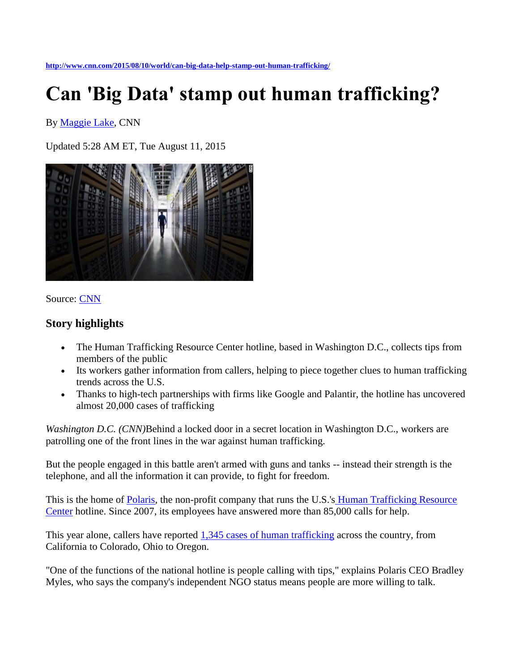## **Can 'Big Data' stamp out human trafficking?**

By [Maggie Lake,](http://www.cnn.com/profiles/maggie-lake-profile) CNN

Updated 5:28 AM ET, Tue August 11, 2015



## Source: [CNN](http://www.cnn.com/2015/08/10/world/can-big-data-help-stamp-out-human-trafficking/www.cnn.com)

## **Story highlights**

- The Human Trafficking Resource Center hotline, based in Washington D.C., collects tips from members of the public
- Its workers gather information from callers, helping to piece together clues to human trafficking trends across the U.S.
- Thanks to high-tech partnerships with firms like Google and Palantir, the hotline has uncovered almost 20,000 cases of trafficking

*Washington D.C. (CNN)*Behind a locked door in a secret location in Washington D.C., workers are patrolling one of the front lines in the war against human trafficking.

But the people engaged in this battle aren't armed with guns and tanks -- instead their strength is the telephone, and all the information it can provide, to fight for freedom.

This is the home of [Polaris,](http://www.polarisproject.org/) the non-profit company that runs the U.S.'s [Human Trafficking Resource](http://traffickingresourcecenter.org/)  [Center](http://traffickingresourcecenter.org/) hotline. Since 2007, its employees have answered more than 85,000 calls for help.

This year alone, callers have reported [1,345 cases of human trafficking](http://traffickingresourcecenter.org/states) across the country, from California to Colorado, Ohio to Oregon.

"One of the functions of the national hotline is people calling with tips," explains Polaris CEO Bradley Myles, who says the company's independent NGO status means people are more willing to talk.